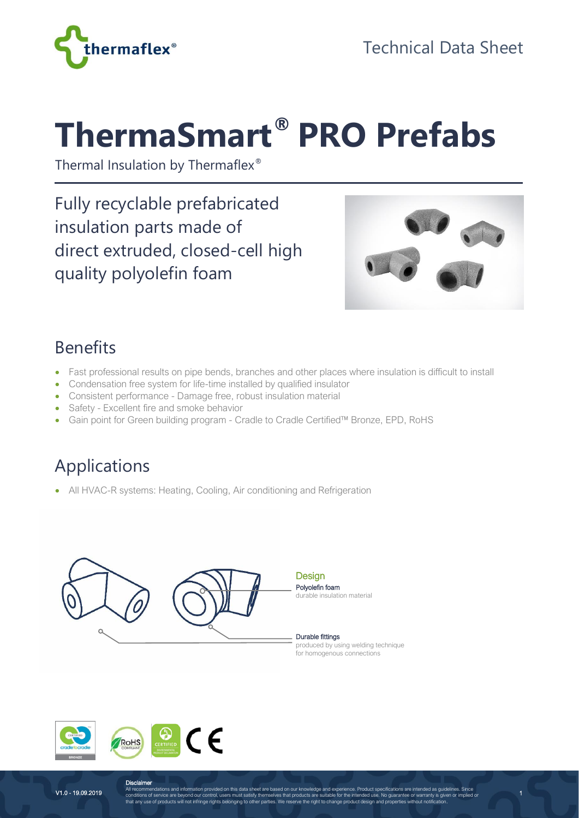

# **ThermaSmart® PRO Prefabs**

Thermal Insulation by Thermaflex®

Fully recyclable prefabricated insulation parts made of direct extruded, closed-cell high quality polyolefin foam



1

#### Benefits

- Fast professional results on pipe bends, branches and other places where insulation is difficult to install
- Condensation free system for life-time installed by qualified insulator
- Consistent performance Damage free, robust insulation material
- Safety Excellent fire and smoke behavior
- Gain point for Green building program Cradle to Cradle Certified™ Bronze, EPD, RoHS

# Applications

• All HVAC-R systems: Heating, Cooling, Air conditioning and Refrigeration